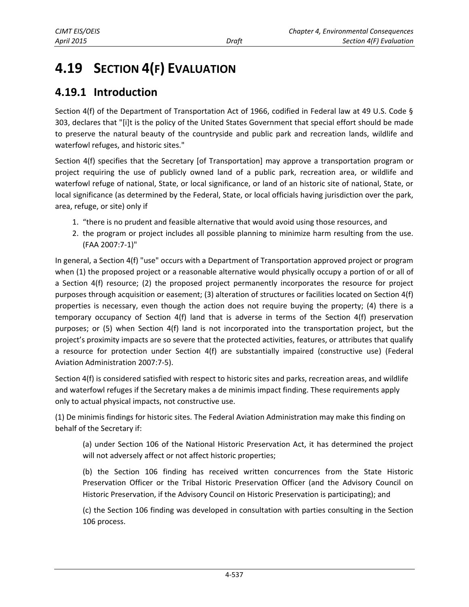# **4.19 SECTION 4(F) EVALUATION**

# **4.19.1 Introduction**

Section 4(f) of the Department of Transportation Act of 1966, codified in Federal law at 49 U.S. Code § 303, declares that "[i]t is the policy of the United States Government that special effort should be made to preserve the natural beauty of the countryside and public park and recreation lands, wildlife and waterfowl refuges, and historic sites."

Section 4(f) specifies that the Secretary [of Transportation] may approve a transportation program or project requiring the use of publicly owned land of a public park, recreation area, or wildlife and waterfowl refuge of national, State, or local significance, or land of an historic site of national, State, or local significance (as determined by the Federal, State, or local officials having jurisdiction over the park, area, refuge, or site) only if

- 1. "there is no prudent and feasible alternative that would avoid using those resources, and
- 2. the program or project includes all possible planning to minimize harm resulting from the use. (FAA 2007:7-1)"

In general, a Section 4(f) "use" occurs with a Department of Transportation approved project or program when (1) the proposed project or a reasonable alternative would physically occupy a portion of or all of a Section 4(f) resource; (2) the proposed project permanently incorporates the resource for project purposes through acquisition or easement; (3) alteration of structures or facilities located on Section 4(f) properties is necessary, even though the action does not require buying the property; (4) there is a temporary occupancy of Section 4(f) land that is adverse in terms of the Section 4(f) preservation purposes; or (5) when Section 4(f) land is not incorporated into the transportation project, but the project's proximity impacts are so severe that the protected activities, features, or attributes that qualify a resource for protection under Section 4(f) are substantially impaired (constructive use) (Federal Aviation Administration 2007:7-5).

Section 4(f) is considered satisfied with respect to historic sites and parks, recreation areas, and wildlife and waterfowl refuges if the Secretary makes a de minimis impact finding. These requirements apply only to actual physical impacts, not constructive use.

(1) De minimis findings for historic sites. The Federal Aviation Administration may make this finding on behalf of the Secretary if:

(a) under Section 106 of the National Historic Preservation Act, it has determined the project will not adversely affect or not affect historic properties;

(b) the Section 106 finding has received written concurrences from the State Historic Preservation Officer or the Tribal Historic Preservation Officer (and the Advisory Council on Historic Preservation, if the Advisory Council on Historic Preservation is participating); and

(c) the Section 106 finding was developed in consultation with parties consulting in the Section 106 process.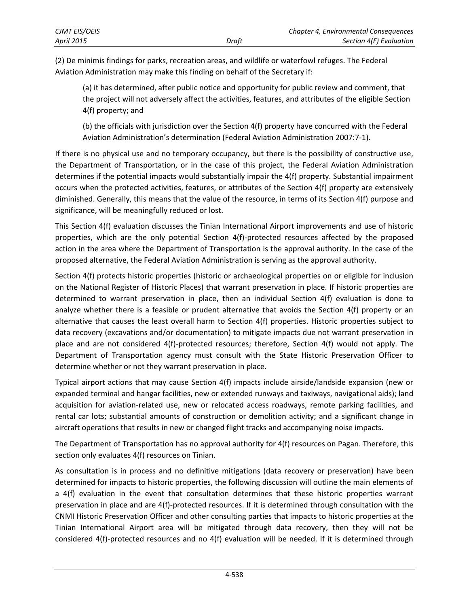| CJMT EIS/OEIS |       | Chapter 4, Environmental Consequences |
|---------------|-------|---------------------------------------|
| April 2015    | Draft | Section 4(F) Evaluation               |

(2) De minimis findings for parks, recreation areas, and wildlife or waterfowl refuges. The Federal Aviation Administration may make this finding on behalf of the Secretary if:

(a) it has determined, after public notice and opportunity for public review and comment, that the project will not adversely affect the activities, features, and attributes of the eligible Section 4(f) property; and

(b) the officials with jurisdiction over the Section 4(f) property have concurred with the Federal Aviation Administration's determination (Federal Aviation Administration 2007:7-1).

If there is no physical use and no temporary occupancy, but there is the possibility of constructive use, the Department of Transportation, or in the case of this project, the Federal Aviation Administration determines if the potential impacts would substantially impair the 4(f) property. Substantial impairment occurs when the protected activities, features, or attributes of the Section 4(f) property are extensively diminished. Generally, this means that the value of the resource, in terms of its Section 4(f) purpose and significance, will be meaningfully reduced or lost.

This Section 4(f) evaluation discusses the Tinian International Airport improvements and use of historic properties, which are the only potential Section 4(f)-protected resources affected by the proposed action in the area where the Department of Transportation is the approval authority. In the case of the proposed alternative, the Federal Aviation Administration is serving as the approval authority.

Section 4(f) protects historic properties (historic or archaeological properties on or eligible for inclusion on the National Register of Historic Places) that warrant preservation in place. If historic properties are determined to warrant preservation in place, then an individual Section 4(f) evaluation is done to analyze whether there is a feasible or prudent alternative that avoids the Section 4(f) property or an alternative that causes the least overall harm to Section 4(f) properties. Historic properties subject to data recovery (excavations and/or documentation) to mitigate impacts due not warrant preservation in place and are not considered 4(f)-protected resources; therefore, Section 4(f) would not apply. The Department of Transportation agency must consult with the State Historic Preservation Officer to determine whether or not they warrant preservation in place.

Typical airport actions that may cause Section 4(f) impacts include airside/landside expansion (new or expanded terminal and hangar facilities, new or extended runways and taxiways, navigational aids); land acquisition for aviation-related use, new or relocated access roadways, remote parking facilities, and rental car lots; substantial amounts of construction or demolition activity; and a significant change in aircraft operations that results in new or changed flight tracks and accompanying noise impacts.

The Department of Transportation has no approval authority for 4(f) resources on Pagan. Therefore, this section only evaluates 4(f) resources on Tinian.

As consultation is in process and no definitive mitigations (data recovery or preservation) have been determined for impacts to historic properties, the following discussion will outline the main elements of a 4(f) evaluation in the event that consultation determines that these historic properties warrant preservation in place and are 4(f)-protected resources. If it is determined through consultation with the CNMI Historic Preservation Officer and other consulting parties that impacts to historic properties at the Tinian International Airport area will be mitigated through data recovery, then they will not be considered 4(f)-protected resources and no 4(f) evaluation will be needed. If it is determined through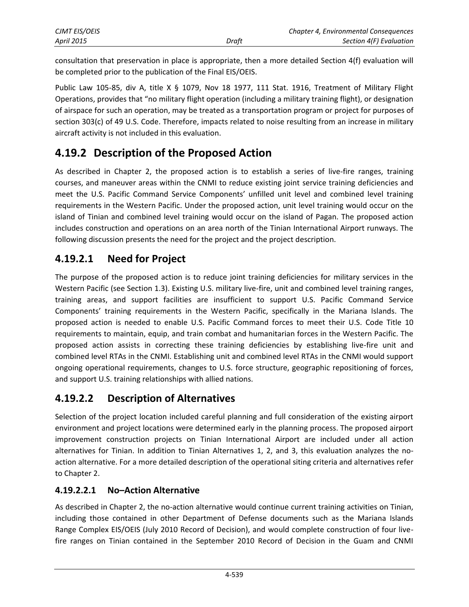| CJMT EIS/OEIS |       | Chapter 4, Environmental Consequences |
|---------------|-------|---------------------------------------|
| April 2015    | Draft | Section 4(F) Evaluation               |

consultation that preservation in place is appropriate, then a more detailed Section 4(f) evaluation will be completed prior to the publication of the Final EIS/OEIS.

Public Law 105-85, div A, title X § 1079, Nov 18 1977, 111 Stat. 1916, Treatment of Military Flight Operations, provides that "no military flight operation (including a military training flight), or designation of airspace for such an operation, may be treated as a transportation program or project for purposes of section 303(c) of 49 U.S. Code. Therefore, impacts related to noise resulting from an increase in military aircraft activity is not included in this evaluation.

# **4.19.2 Description of the Proposed Action**

As described in Chapter 2, the proposed action is to establish a series of live-fire ranges, training courses, and maneuver areas within the CNMI to reduce existing joint service training deficiencies and meet the U.S. Pacific Command Service Components' unfilled unit level and combined level training requirements in the Western Pacific. Under the proposed action, unit level training would occur on the island of Tinian and combined level training would occur on the island of Pagan. The proposed action includes construction and operations on an area north of the Tinian International Airport runways. The following discussion presents the need for the project and the project description.

## **4.19.2.1 Need for Project**

The purpose of the proposed action is to reduce joint training deficiencies for military services in the Western Pacific (see Section 1.3). Existing U.S. military live-fire, unit and combined level training ranges, training areas, and support facilities are insufficient to support U.S. Pacific Command Service Components' training requirements in the Western Pacific, specifically in the Mariana Islands. The proposed action is needed to enable U.S. Pacific Command forces to meet their U.S. Code Title 10 requirements to maintain, equip, and train combat and humanitarian forces in the Western Pacific. The proposed action assists in correcting these training deficiencies by establishing live-fire unit and combined level RTAs in the CNMI. Establishing unit and combined level RTAs in the CNMI would support ongoing operational requirements, changes to U.S. force structure, geographic repositioning of forces, and support U.S. training relationships with allied nations.

## **4.19.2.2 Description of Alternatives**

Selection of the project location included careful planning and full consideration of the existing airport environment and project locations were determined early in the planning process. The proposed airport improvement construction projects on Tinian International Airport are included under all action alternatives for Tinian. In addition to Tinian Alternatives 1, 2, and 3, this evaluation analyzes the noaction alternative. For a more detailed description of the operational siting criteria and alternatives refer to Chapter 2.

#### **4.19.2.2.1 No–Action Alternative**

As described in Chapter 2, the no-action alternative would continue current training activities on Tinian, including those contained in other Department of Defense documents such as the Mariana Islands Range Complex EIS/OEIS (July 2010 Record of Decision), and would complete construction of four livefire ranges on Tinian contained in the September 2010 Record of Decision in the Guam and CNMI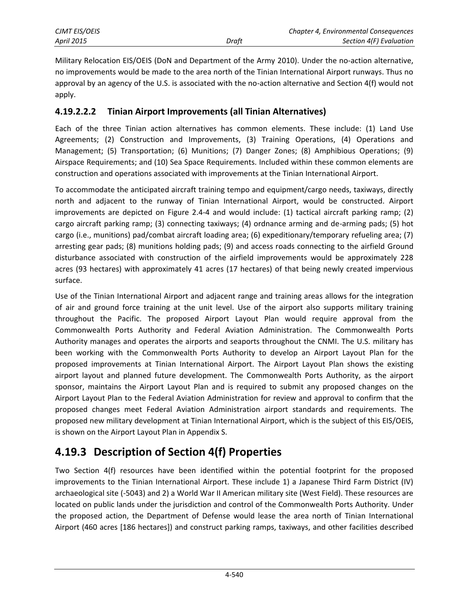| <b>CJMT EIS/OEIS</b> |       | Chapter 4, Environmental Consequences |
|----------------------|-------|---------------------------------------|
| <b>April 2015</b>    | Draft | Section 4(F) Evaluation               |

Military Relocation EIS/OEIS (DoN and Department of the Army 2010). Under the no-action alternative, no improvements would be made to the area north of the Tinian International Airport runways. Thus no approval by an agency of the U.S. is associated with the no-action alternative and Section 4(f) would not apply.

#### **4.19.2.2.2 Tinian Airport Improvements (all Tinian Alternatives)**

Each of the three Tinian action alternatives has common elements. These include: (1) Land Use Agreements; (2) Construction and Improvements, (3) Training Operations, (4) Operations and Management; (5) Transportation; (6) Munitions; (7) Danger Zones; (8) Amphibious Operations; (9) Airspace Requirements; and (10) Sea Space Requirements. Included within these common elements are construction and operations associated with improvements at the Tinian International Airport.

To accommodate the anticipated aircraft training tempo and equipment/cargo needs, taxiways, directly north and adjacent to the runway of Tinian International Airport, would be constructed. Airport improvements are depicted on Figure 2.4-4 and would include: (1) tactical aircraft parking ramp; (2) cargo aircraft parking ramp; (3) connecting taxiways; (4) ordnance arming and de-arming pads; (5) hot cargo (i.e., munitions) pad/combat aircraft loading area; (6) expeditionary/temporary refueling area; (7) arresting gear pads; (8) munitions holding pads; (9) and access roads connecting to the airfield Ground disturbance associated with construction of the airfield improvements would be approximately 228 acres (93 hectares) with approximately 41 acres (17 hectares) of that being newly created impervious surface.

Use of the Tinian International Airport and adjacent range and training areas allows for the integration of air and ground force training at the unit level. Use of the airport also supports military training throughout the Pacific. The proposed Airport Layout Plan would require approval from the Commonwealth Ports Authority and Federal Aviation Administration. The Commonwealth Ports Authority manages and operates the airports and seaports throughout the CNMI. The U.S. military has been working with the Commonwealth Ports Authority to develop an Airport Layout Plan for the proposed improvements at Tinian International Airport. The Airport Layout Plan shows the existing airport layout and planned future development. The Commonwealth Ports Authority, as the airport sponsor, maintains the Airport Layout Plan and is required to submit any proposed changes on the Airport Layout Plan to the Federal Aviation Administration for review and approval to confirm that the proposed changes meet Federal Aviation Administration airport standards and requirements. The proposed new military development at Tinian International Airport, which is the subject of this EIS/OEIS, is shown on the Airport Layout Plan in Appendix S.

# **4.19.3 Description of Section 4(f) Properties**

Two Section 4(f) resources have been identified within the potential footprint for the proposed improvements to the Tinian International Airport. These include 1) a Japanese Third Farm District (IV) archaeological site (-5043) and 2) a World War II American military site (West Field). These resources are located on public lands under the jurisdiction and control of the Commonwealth Ports Authority. Under the proposed action, the Department of Defense would lease the area north of Tinian International Airport (460 acres [186 hectares]) and construct parking ramps, taxiways, and other facilities described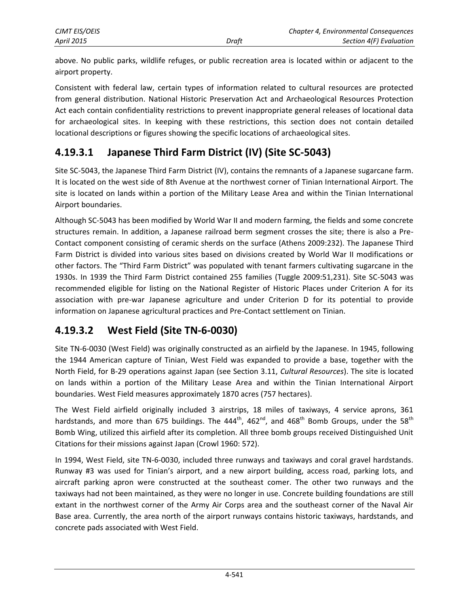above. No public parks, wildlife refuges, or public recreation area is located within or adjacent to the airport property.

Consistent with federal law, certain types of information related to cultural resources are protected from general distribution. National Historic Preservation Act and Archaeological Resources Protection Act each contain confidentiality restrictions to prevent inappropriate general releases of locational data for archaeological sites. In keeping with these restrictions, this section does not contain detailed locational descriptions or figures showing the specific locations of archaeological sites.

# **4.19.3.1 Japanese Third Farm District (IV) (Site SC-5043)**

Site SC-5043, the Japanese Third Farm District (IV), contains the remnants of a Japanese sugarcane farm. It is located on the west side of 8th Avenue at the northwest corner of Tinian International Airport. The site is located on lands within a portion of the Military Lease Area and within the Tinian International Airport boundaries.

Although SC-5043 has been modified by World War II and modern farming, the fields and some concrete structures remain. In addition, a Japanese railroad berm segment crosses the site; there is also a Pre-Contact component consisting of ceramic sherds on the surface (Athens 2009:232). The Japanese Third Farm District is divided into various sites based on divisions created by World War II modifications or other factors. The "Third Farm District" was populated with tenant farmers cultivating sugarcane in the 1930s. In 1939 the Third Farm District contained 255 families (Tuggle 2009:51,231). Site SC-5043 was recommended eligible for listing on the National Register of Historic Places under Criterion A for its association with pre-war Japanese agriculture and under Criterion D for its potential to provide information on Japanese agricultural practices and Pre-Contact settlement on Tinian.

# **4.19.3.2 West Field (Site TN-6-0030)**

Site TN-6-0030 (West Field) was originally constructed as an airfield by the Japanese. In 1945, following the 1944 American capture of Tinian, West Field was expanded to provide a base, together with the North Field, for B-29 operations against Japan (see Section 3.11, *Cultural Resources*). The site is located on lands within a portion of the Military Lease Area and within the Tinian International Airport boundaries. West Field measures approximately 1870 acres (757 hectares).

The West Field airfield originally included 3 airstrips, 18 miles of taxiways, 4 service aprons, 361 hardstands, and more than 675 buildings. The 444<sup>th</sup>, 462<sup>nd</sup>, and 468<sup>th</sup> Bomb Groups, under the 58<sup>th</sup> Bomb Wing, utilized this airfield after its completion. All three bomb groups received Distinguished Unit Citations for their missions against Japan (Crowl 1960: 572).

In 1994, West Field, site TN-6-0030, included three runways and taxiways and coral gravel hardstands. Runway #3 was used for Tinian's airport, and a new airport building, access road, parking lots, and aircraft parking apron were constructed at the southeast comer. The other two runways and the taxiways had not been maintained, as they were no longer in use. Concrete building foundations are still extant in the northwest corner of the Army Air Corps area and the southeast corner of the Naval Air Base area. Currently, the area north of the airport runways contains historic taxiways, hardstands, and concrete pads associated with West Field.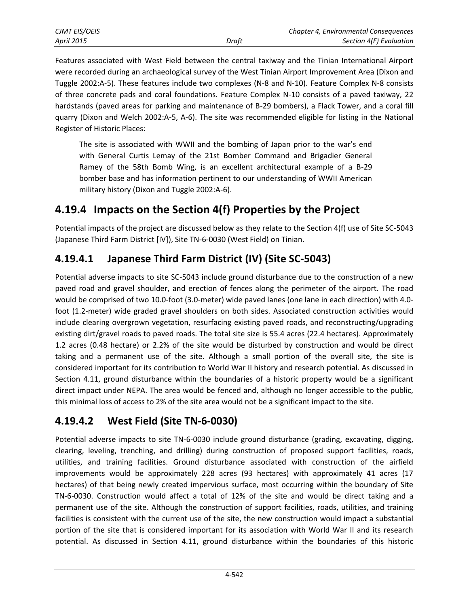| <b>CJMT EIS/OEIS</b> |       | Chapter 4, Environmental Consequences |
|----------------------|-------|---------------------------------------|
| <b>April 2015</b>    | Draft | Section 4(F) Evaluation               |

Features associated with West Field between the central taxiway and the Tinian International Airport were recorded during an archaeological survey of the West Tinian Airport Improvement Area (Dixon and Tuggle 2002:A-5). These features include two complexes (N-8 and N-10). Feature Complex N-8 consists of three concrete pads and coral foundations. Feature Complex N-10 consists of a paved taxiway, 22 hardstands (paved areas for parking and maintenance of B-29 bombers), a Flack Tower, and a coral fill quarry (Dixon and Welch 2002:A-5, A-6). The site was recommended eligible for listing in the National Register of Historic Places:

The site is associated with WWII and the bombing of Japan prior to the war's end with General Curtis Lemay of the 21st Bomber Command and Brigadier General Ramey of the 58th Bomb Wing, is an excellent architectural example of a B-29 bomber base and has information pertinent to our understanding of WWII American military history (Dixon and Tuggle 2002:A-6).

# **4.19.4 Impacts on the Section 4(f) Properties by the Project**

Potential impacts of the project are discussed below as they relate to the Section 4(f) use of Site SC-5043 (Japanese Third Farm District [IV]), Site TN-6-0030 (West Field) on Tinian.

## **4.19.4.1 Japanese Third Farm District (IV) (Site SC-5043)**

Potential adverse impacts to site SC-5043 include ground disturbance due to the construction of a new paved road and gravel shoulder, and erection of fences along the perimeter of the airport. The road would be comprised of two 10.0-foot (3.0-meter) wide paved lanes (one lane in each direction) with 4.0 foot (1.2-meter) wide graded gravel shoulders on both sides. Associated construction activities would include clearing overgrown vegetation, resurfacing existing paved roads, and reconstructing/upgrading existing dirt/gravel roads to paved roads. The total site size is 55.4 acres (22.4 hectares). Approximately 1.2 acres (0.48 hectare) or 2.2% of the site would be disturbed by construction and would be direct taking and a permanent use of the site. Although a small portion of the overall site, the site is considered important for its contribution to World War II history and research potential. As discussed in Section 4.11, ground disturbance within the boundaries of a historic property would be a significant direct impact under NEPA. The area would be fenced and, although no longer accessible to the public, this minimal loss of access to 2% of the site area would not be a significant impact to the site.

## **4.19.4.2 West Field (Site TN-6-0030)**

Potential adverse impacts to site TN-6-0030 include ground disturbance (grading, excavating, digging, clearing, leveling, trenching, and drilling) during construction of proposed support facilities, roads, utilities, and training facilities. Ground disturbance associated with construction of the airfield improvements would be approximately 228 acres (93 hectares) with approximately 41 acres (17 hectares) of that being newly created impervious surface, most occurring within the boundary of Site TN-6-0030. Construction would affect a total of 12% of the site and would be direct taking and a permanent use of the site. Although the construction of support facilities, roads, utilities, and training facilities is consistent with the current use of the site, the new construction would impact a substantial portion of the site that is considered important for its association with World War II and its research potential. As discussed in Section 4.11, ground disturbance within the boundaries of this historic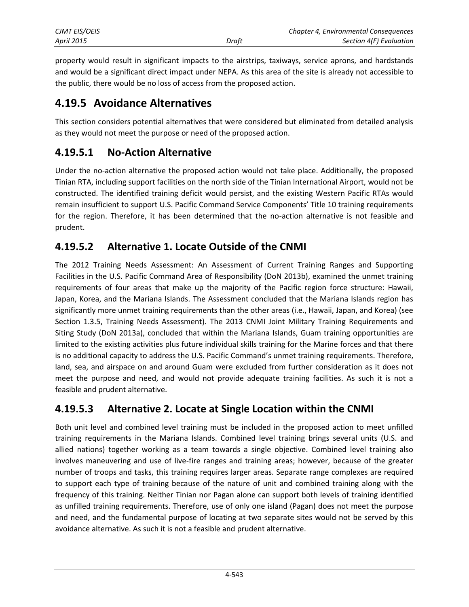| <b>CJMT EIS/OEIS</b> |       | <b>Chapter 4, Environmental Consequences</b> |
|----------------------|-------|----------------------------------------------|
| <b>April 2015</b>    | Draft | Section 4(F) Evaluation                      |

property would result in significant impacts to the airstrips, taxiways, service aprons, and hardstands and would be a significant direct impact under NEPA. As this area of the site is already not accessible to the public, there would be no loss of access from the proposed action.

#### **4.19.5 Avoidance Alternatives**

This section considers potential alternatives that were considered but eliminated from detailed analysis as they would not meet the purpose or need of the proposed action.

#### **4.19.5.1 No-Action Alternative**

Under the no-action alternative the proposed action would not take place. Additionally, the proposed Tinian RTA, including support facilities on the north side of the Tinian International Airport, would not be constructed. The identified training deficit would persist, and the existing Western Pacific RTAs would remain insufficient to support U.S. Pacific Command Service Components' Title 10 training requirements for the region. Therefore, it has been determined that the no-action alternative is not feasible and prudent.

#### **4.19.5.2 Alternative 1. Locate Outside of the CNMI**

The 2012 Training Needs Assessment: An Assessment of Current Training Ranges and Supporting Facilities in the U.S. Pacific Command Area of Responsibility (DoN 2013b), examined the unmet training requirements of four areas that make up the majority of the Pacific region force structure: Hawaii, Japan, Korea, and the Mariana Islands. The Assessment concluded that the Mariana Islands region has significantly more unmet training requirements than the other areas (i.e., Hawaii, Japan, and Korea) (see Section 1.3.5, Training Needs Assessment). The 2013 CNMI Joint Military Training Requirements and Siting Study (DoN 2013a), concluded that within the Mariana Islands, Guam training opportunities are limited to the existing activities plus future individual skills training for the Marine forces and that there is no additional capacity to address the U.S. Pacific Command's unmet training requirements. Therefore, land, sea, and airspace on and around Guam were excluded from further consideration as it does not meet the purpose and need, and would not provide adequate training facilities. As such it is not a feasible and prudent alternative.

#### **4.19.5.3 Alternative 2. Locate at Single Location within the CNMI**

Both unit level and combined level training must be included in the proposed action to meet unfilled training requirements in the Mariana Islands. Combined level training brings several units (U.S. and allied nations) together working as a team towards a single objective. Combined level training also involves maneuvering and use of live-fire ranges and training areas; however, because of the greater number of troops and tasks, this training requires larger areas. Separate range complexes are required to support each type of training because of the nature of unit and combined training along with the frequency of this training. Neither Tinian nor Pagan alone can support both levels of training identified as unfilled training requirements. Therefore, use of only one island (Pagan) does not meet the purpose and need, and the fundamental purpose of locating at two separate sites would not be served by this avoidance alternative. As such it is not a feasible and prudent alternative.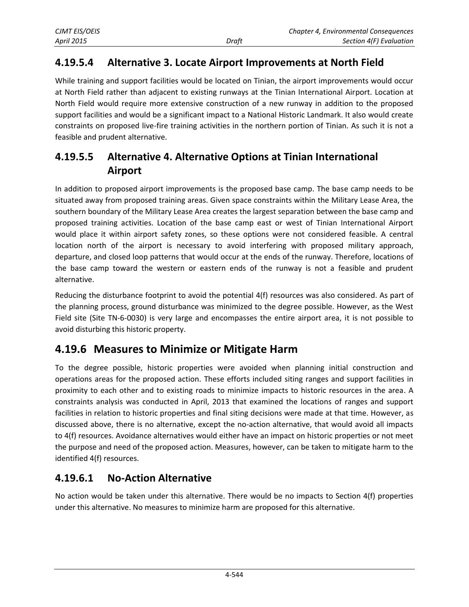#### **4.19.5.4 Alternative 3. Locate Airport Improvements at North Field**

While training and support facilities would be located on Tinian, the airport improvements would occur at North Field rather than adjacent to existing runways at the Tinian International Airport. Location at North Field would require more extensive construction of a new runway in addition to the proposed support facilities and would be a significant impact to a National Historic Landmark. It also would create constraints on proposed live-fire training activities in the northern portion of Tinian. As such it is not a feasible and prudent alternative.

#### **4.19.5.5 Alternative 4. Alternative Options at Tinian International Airport**

In addition to proposed airport improvements is the proposed base camp. The base camp needs to be situated away from proposed training areas. Given space constraints within the Military Lease Area, the southern boundary of the Military Lease Area creates the largest separation between the base camp and proposed training activities. Location of the base camp east or west of Tinian International Airport would place it within airport safety zones, so these options were not considered feasible. A central location north of the airport is necessary to avoid interfering with proposed military approach, departure, and closed loop patterns that would occur at the ends of the runway. Therefore, locations of the base camp toward the western or eastern ends of the runway is not a feasible and prudent alternative.

Reducing the disturbance footprint to avoid the potential 4(f) resources was also considered. As part of the planning process, ground disturbance was minimized to the degree possible. However, as the West Field site (Site TN-6-0030) is very large and encompasses the entire airport area, it is not possible to avoid disturbing this historic property.

## **4.19.6 Measures to Minimize or Mitigate Harm**

To the degree possible, historic properties were avoided when planning initial construction and operations areas for the proposed action. These efforts included siting ranges and support facilities in proximity to each other and to existing roads to minimize impacts to historic resources in the area. A constraints analysis was conducted in April, 2013 that examined the locations of ranges and support facilities in relation to historic properties and final siting decisions were made at that time. However, as discussed above, there is no alternative, except the no-action alternative, that would avoid all impacts to 4(f) resources. Avoidance alternatives would either have an impact on historic properties or not meet the purpose and need of the proposed action. Measures, however, can be taken to mitigate harm to the identified 4(f) resources.

#### **4.19.6.1 No-Action Alternative**

No action would be taken under this alternative. There would be no impacts to Section 4(f) properties under this alternative. No measures to minimize harm are proposed for this alternative.